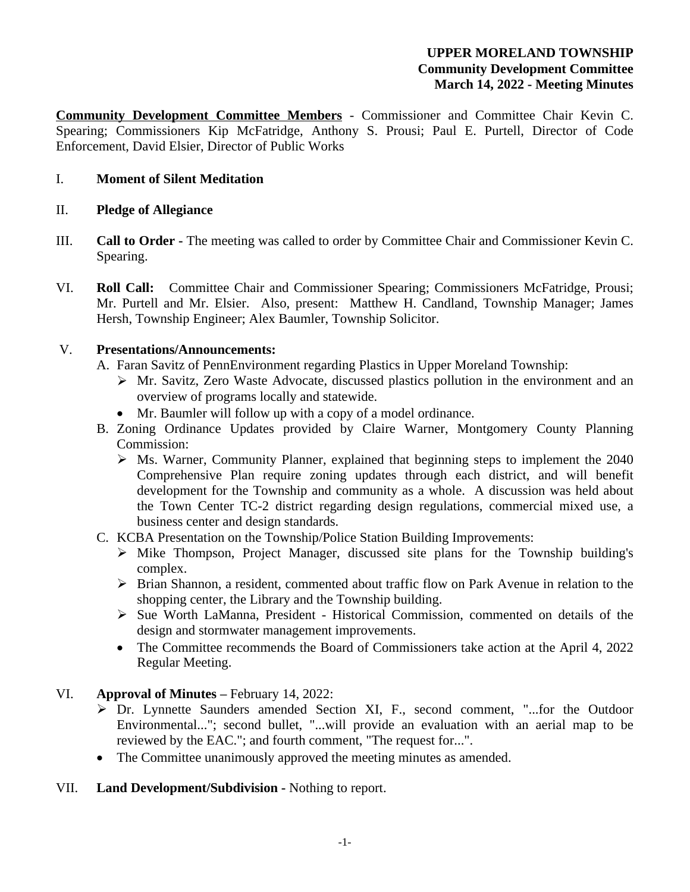# **UPPER MORELAND TOWNSHIP Community Development Committee March 14, 2022 - Meeting Minutes**

**Community Development Committee Members** - Commissioner and Committee Chair Kevin C. Spearing; Commissioners Kip McFatridge, Anthony S. Prousi; Paul E. Purtell, Director of Code Enforcement, David Elsier, Director of Public Works

# I. **Moment of Silent Meditation**

# II. **Pledge of Allegiance**

- III. **Call to Order -** The meeting was called to order by Committee Chair and Commissioner Kevin C. Spearing.
- VI. **Roll Call:** Committee Chair and Commissioner Spearing; Commissioners McFatridge, Prousi; Mr. Purtell and Mr. Elsier. Also, present: Matthew H. Candland, Township Manager; James Hersh, Township Engineer; Alex Baumler, Township Solicitor.

# V. **Presentations/Announcements:**

- A. Faran Savitz of PennEnvironment regarding Plastics in Upper Moreland Township:
	- Mr. Savitz, Zero Waste Advocate, discussed plastics pollution in the environment and an overview of programs locally and statewide.
	- Mr. Baumler will follow up with a copy of a model ordinance.
- B. Zoning Ordinance Updates provided by Claire Warner, Montgomery County Planning Commission:
	- $\triangleright$  Ms. Warner, Community Planner, explained that beginning steps to implement the 2040 Comprehensive Plan require zoning updates through each district, and will benefit development for the Township and community as a whole. A discussion was held about the Town Center TC-2 district regarding design regulations, commercial mixed use, a business center and design standards.
- C. KCBA Presentation on the Township/Police Station Building Improvements:
	- $\triangleright$  Mike Thompson, Project Manager, discussed site plans for the Township building's complex.
	- Brian Shannon, a resident, commented about traffic flow on Park Avenue in relation to the shopping center, the Library and the Township building.
	- Sue Worth LaManna, President Historical Commission, commented on details of the design and stormwater management improvements.
	- The Committee recommends the Board of Commissioners take action at the April 4, 2022 Regular Meeting.

# VI. **Approval of Minutes –** February 14, 2022:

- Dr. Lynnette Saunders amended Section XI, F., second comment, "...for the Outdoor Environmental..."; second bullet, "...will provide an evaluation with an aerial map to be reviewed by the EAC."; and fourth comment, "The request for...".
- The Committee unanimously approved the meeting minutes as amended.

# VII. **Land Development/Subdivision -** Nothing to report.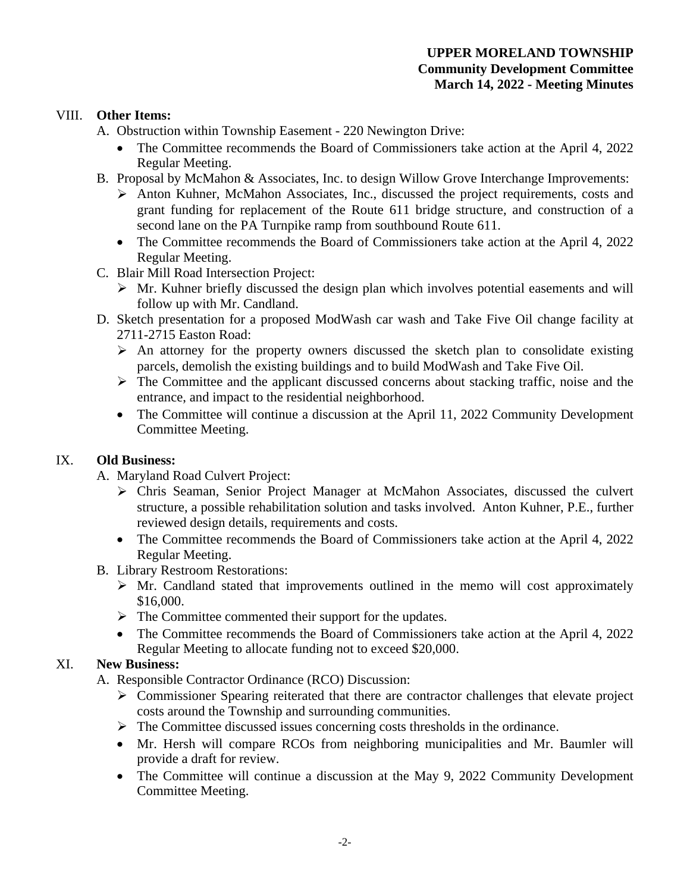#### VIII. **Other Items:**

- A. Obstruction within Township Easement 220 Newington Drive:
	- The Committee recommends the Board of Commissioners take action at the April 4, 2022 Regular Meeting.
- B. Proposal by McMahon & Associates, Inc. to design Willow Grove Interchange Improvements:
	- $\triangleright$  Anton Kuhner, McMahon Associates, Inc., discussed the project requirements, costs and grant funding for replacement of the Route 611 bridge structure, and construction of a second lane on the PA Turnpike ramp from southbound Route 611.
	- The Committee recommends the Board of Commissioners take action at the April 4, 2022 Regular Meeting.
- C. Blair Mill Road Intersection Project:
	- $\triangleright$  Mr. Kuhner briefly discussed the design plan which involves potential easements and will follow up with Mr. Candland.
- D. Sketch presentation for a proposed ModWash car wash and Take Five Oil change facility at 2711-2715 Easton Road:
	- $\triangleright$  An attorney for the property owners discussed the sketch plan to consolidate existing parcels, demolish the existing buildings and to build ModWash and Take Five Oil.
	- $\triangleright$  The Committee and the applicant discussed concerns about stacking traffic, noise and the entrance, and impact to the residential neighborhood.
	- The Committee will continue a discussion at the April 11, 2022 Community Development Committee Meeting.

# IX. **Old Business:**

- A. Maryland Road Culvert Project:
	- Chris Seaman, Senior Project Manager at McMahon Associates, discussed the culvert structure, a possible rehabilitation solution and tasks involved. Anton Kuhner, P.E., further reviewed design details, requirements and costs.
	- The Committee recommends the Board of Commissioners take action at the April 4, 2022 Regular Meeting.
- B. Library Restroom Restorations:
	- $\triangleright$  Mr. Candland stated that improvements outlined in the memo will cost approximately \$16,000.
	- $\triangleright$  The Committee commented their support for the updates.
	- The Committee recommends the Board of Commissioners take action at the April 4, 2022 Regular Meeting to allocate funding not to exceed \$20,000.

# XI. **New Business:**

- A. Responsible Contractor Ordinance (RCO) Discussion:
	- Commissioner Spearing reiterated that there are contractor challenges that elevate project costs around the Township and surrounding communities.
	- $\triangleright$  The Committee discussed issues concerning costs thresholds in the ordinance.
	- Mr. Hersh will compare RCOs from neighboring municipalities and Mr. Baumler will provide a draft for review.
	- The Committee will continue a discussion at the May 9, 2022 Community Development Committee Meeting.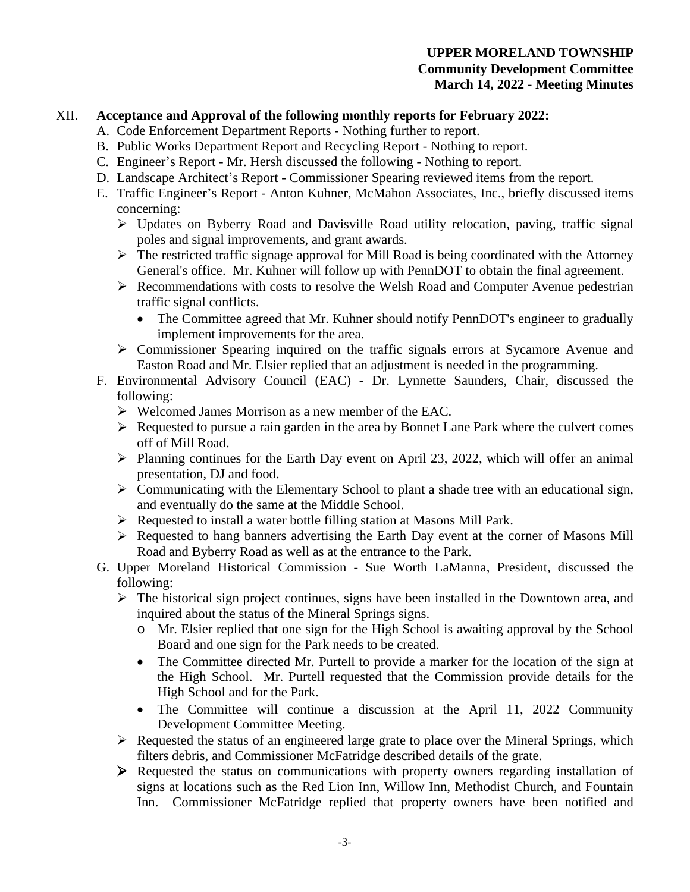#### XII. **Acceptance and Approval of the following monthly reports for February 2022:**

- A. Code Enforcement Department Reports Nothing further to report.
- B. Public Works Department Report and Recycling Report Nothing to report.
- C. Engineer's Report Mr. Hersh discussed the following Nothing to report.
- D. Landscape Architect's Report Commissioner Spearing reviewed items from the report.
- E. Traffic Engineer's Report Anton Kuhner, McMahon Associates, Inc., briefly discussed items concerning:
	- $\triangleright$  Updates on Byberry Road and Davisville Road utility relocation, paving, traffic signal poles and signal improvements, and grant awards.
	- $\triangleright$  The restricted traffic signage approval for Mill Road is being coordinated with the Attorney General's office. Mr. Kuhner will follow up with PennDOT to obtain the final agreement.
	- $\triangleright$  Recommendations with costs to resolve the Welsh Road and Computer Avenue pedestrian traffic signal conflicts.
		- The Committee agreed that Mr. Kuhner should notify PennDOT's engineer to gradually implement improvements for the area.
	- Commissioner Spearing inquired on the traffic signals errors at Sycamore Avenue and Easton Road and Mr. Elsier replied that an adjustment is needed in the programming.
- F. Environmental Advisory Council (EAC) Dr. Lynnette Saunders, Chair, discussed the following:
	- Welcomed James Morrison as a new member of the EAC.
	- $\triangleright$  Requested to pursue a rain garden in the area by Bonnet Lane Park where the culvert comes off of Mill Road.
	- $\triangleright$  Planning continues for the Earth Day event on April 23, 2022, which will offer an animal presentation, DJ and food.
	- $\triangleright$  Communicating with the Elementary School to plant a shade tree with an educational sign, and eventually do the same at the Middle School.
	- Requested to install a water bottle filling station at Masons Mill Park.
	- $\triangleright$  Requested to hang banners advertising the Earth Day event at the corner of Masons Mill Road and Byberry Road as well as at the entrance to the Park.
- G. Upper Moreland Historical Commission Sue Worth LaManna, President, discussed the following:
	- $\triangleright$  The historical sign project continues, signs have been installed in the Downtown area, and inquired about the status of the Mineral Springs signs.
		- o Mr. Elsier replied that one sign for the High School is awaiting approval by the School Board and one sign for the Park needs to be created.
		- The Committee directed Mr. Purtell to provide a marker for the location of the sign at the High School. Mr. Purtell requested that the Commission provide details for the High School and for the Park.
		- The Committee will continue a discussion at the April 11, 2022 Community Development Committee Meeting.
	- $\triangleright$  Requested the status of an engineered large grate to place over the Mineral Springs, which filters debris, and Commissioner McFatridge described details of the grate.
	- Requested the status on communications with property owners regarding installation of signs at locations such as the Red Lion Inn, Willow Inn, Methodist Church, and Fountain Inn. Commissioner McFatridge replied that property owners have been notified and